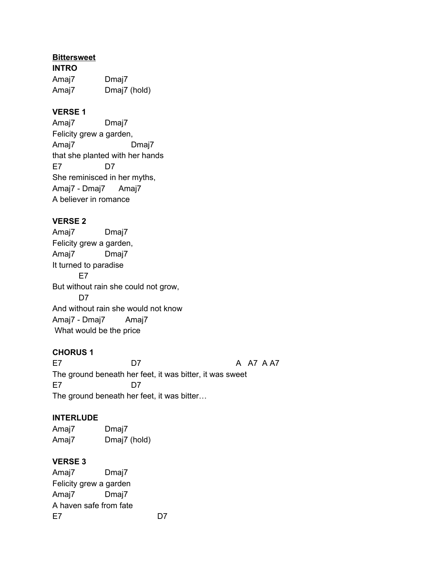#### **Bittersweet**

**INTRO** Amaj7 Dmaj7 Amaj7 Dmaj7 (hold)

## **VERSE 1**

Amaj7 Dmaj7 Felicity grew a garden, Amaj7 Dmaj7 that she planted with her hands E7 D7 She reminisced in her myths, Amaj7 - Dmaj7 Amaj7 A believer in romance

# **VERSE 2**

Amaj7 Dmaj7 Felicity grew a garden, Amaj7 Dmaj7 It turned to paradise E7 But without rain she could not grow, D<sub>7</sub> And without rain she would not know Amaj7 - Dmaj7 Amaj7 What would be the price

#### **CHORUS 1**

E7 D7 D7 A A7 A A7 The ground beneath her feet, it was bitter, it was sweet E7 D7 The ground beneath her feet, it was bitter…

#### **INTERLUDE**

Amaj7 Dmaj7 Amaj7 Dmaj7 (hold)

#### **VERSE 3**

Amaj7 Dmaj7 Felicity grew a garden Amaj7 Dmaj7 A haven safe from fate E7 D7